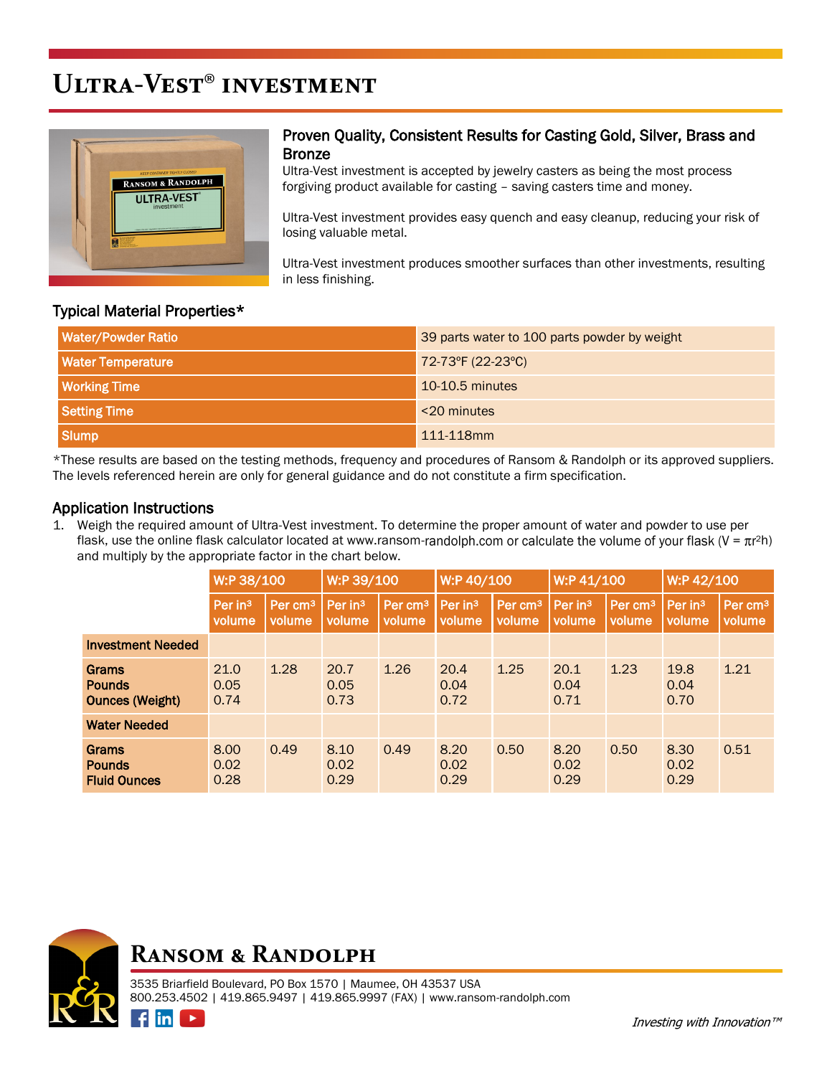# **Ultra-Vest® investment**



#### Proven Quality, Consistent Results for Casting Gold, Silver, Brass and Bronze

Ultra-Vest investment is accepted by jewelry casters as being the most process forgiving product available for casting – saving casters time and money.

Ultra-Vest investment provides easy quench and easy cleanup, reducing your risk of losing valuable metal.

Ultra-Vest investment produces smoother surfaces than other investments, resulting in less finishing.

#### Typical Material Properties\*

| <b>Water/Powder Ratio</b> | 39 parts water to 100 parts powder by weight |
|---------------------------|----------------------------------------------|
| <b>Water Temperature</b>  | 72-73°F (22-23°C)                            |
| <b>Working Time</b>       | $10-10.5$ minutes                            |
| <b>Setting Time</b>       | <20 minutes                                  |
| <b>Slump</b>              | 111-118mm                                    |

\*These results are based on the testing methods, frequency and procedures of Ransom & Randolph or its approved suppliers. The levels referenced herein are only for general guidance and do not constitute a firm specification.

### Application Instructions

1. Weigh the required amount of Ultra-Vest investment. To determine the proper amount of water and powder to use per flask, use the online flask calculator located at www.ransom-randolph.com or calculate the volume of your flask ( $V = \pi r^2 h$ ) and multiply by the appropriate factor in the chart below.

|                                                  | W:P 38/100           |                                | W:P 39/100                    |                               | W:P 40/100                    |                               | W:P 41/100           |                               | W:P 42/100                    |                               |
|--------------------------------------------------|----------------------|--------------------------------|-------------------------------|-------------------------------|-------------------------------|-------------------------------|----------------------|-------------------------------|-------------------------------|-------------------------------|
|                                                  | Per $in3$<br>volume  | Per cm <sup>3</sup><br>volume. | Per in <sup>3</sup><br>volume | Per cm <sup>3</sup><br>volume | Per in <sup>3</sup><br>volume | Per cm <sup>3</sup><br>volume | Per $in3$<br>volume  | Per cm <sup>3</sup><br>volume | Per in <sup>3</sup><br>volume | Per cm <sup>3</sup><br>volume |
| <b>Investment Needed</b>                         |                      |                                |                               |                               |                               |                               |                      |                               |                               |                               |
| Grams<br><b>Pounds</b><br><b>Ounces (Weight)</b> | 21.0<br>0.05<br>0.74 | 1.28                           | 20.7<br>0.05<br>0.73          | 1.26                          | 20.4<br>0.04<br>0.72          | 1.25                          | 20.1<br>0.04<br>0.71 | 1.23                          | 19.8<br>0.04<br>0.70          | 1.21                          |
| <b>Water Needed</b>                              |                      |                                |                               |                               |                               |                               |                      |                               |                               |                               |
| Grams<br><b>Pounds</b><br><b>Fluid Ounces</b>    | 8.00<br>0.02<br>0.28 | 0.49                           | 8.10<br>0.02<br>0.29          | 0.49                          | 8.20<br>0.02<br>0.29          | 0.50                          | 8.20<br>0.02<br>0.29 | 0.50                          | 8.30<br>0.02<br>0.29          | 0.51                          |

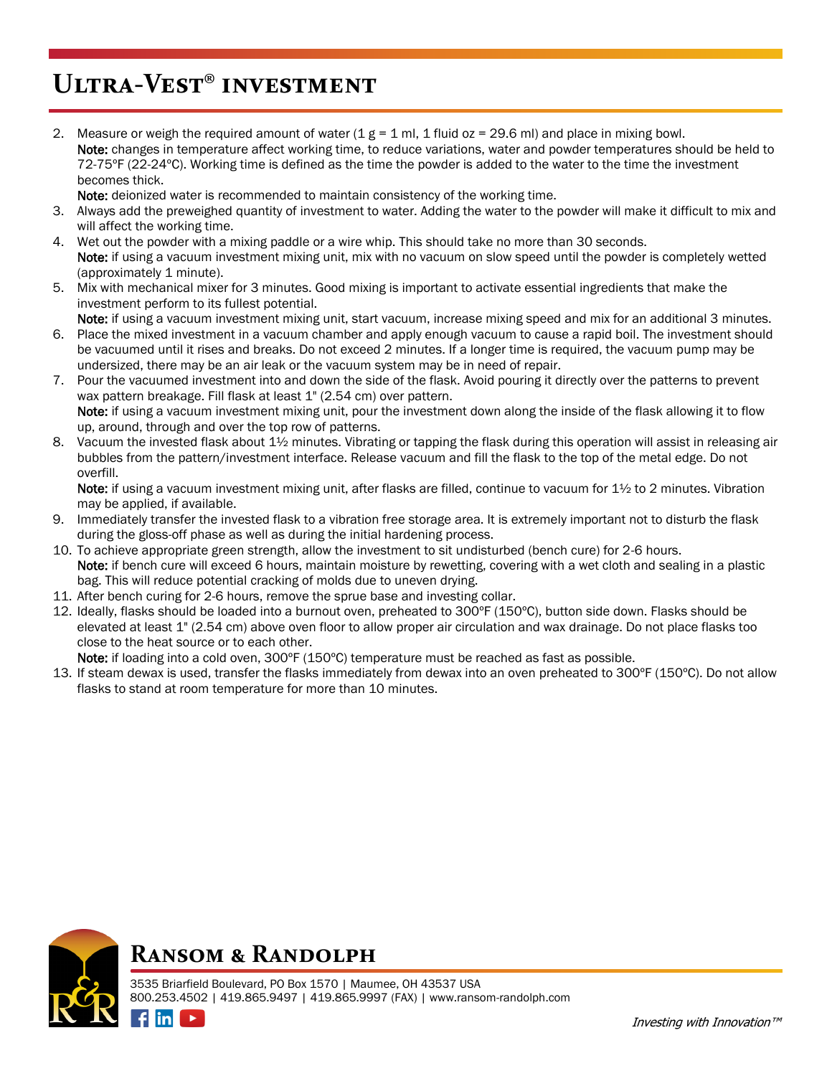## **Ultra-Vest® investment**

2. Measure or weigh the required amount of water  $(1 g = 1 m)$ , 1 fluid oz = 29.6 ml) and place in mixing bowl. Note: changes in temperature affect working time, to reduce variations, water and powder temperatures should be held to 72-75ºF (22-24ºC). Working time is defined as the time the powder is added to the water to the time the investment becomes thick.

Note: deionized water is recommended to maintain consistency of the working time.

- 3. Always add the preweighed quantity of investment to water. Adding the water to the powder will make it difficult to mix and will affect the working time.
- 4. Wet out the powder with a mixing paddle or a wire whip. This should take no more than 30 seconds. Note: if using a vacuum investment mixing unit, mix with no vacuum on slow speed until the powder is completely wetted (approximately 1 minute).
- 5. Mix with mechanical mixer for 3 minutes. Good mixing is important to activate essential ingredients that make the investment perform to its fullest potential.

Note: if using a vacuum investment mixing unit, start vacuum, increase mixing speed and mix for an additional 3 minutes.

- 6. Place the mixed investment in a vacuum chamber and apply enough vacuum to cause a rapid boil. The investment should be vacuumed until it rises and breaks. Do not exceed 2 minutes. If a longer time is required, the vacuum pump may be undersized, there may be an air leak or the vacuum system may be in need of repair.
- 7. Pour the vacuumed investment into and down the side of the flask. Avoid pouring it directly over the patterns to prevent wax pattern breakage. Fill flask at least 1" (2.54 cm) over pattern. Note: if using a vacuum investment mixing unit, pour the investment down along the inside of the flask allowing it to flow up, around, through and over the top row of patterns.
- 8. Vacuum the invested flask about 1½ minutes. Vibrating or tapping the flask during this operation will assist in releasing air bubbles from the pattern/investment interface. Release vacuum and fill the flask to the top of the metal edge. Do not overfill.

Note: if using a vacuum investment mixing unit, after flasks are filled, continue to vacuum for  $1\frac{1}{2}$  to 2 minutes. Vibration may be applied, if available.

- 9. Immediately transfer the invested flask to a vibration free storage area. It is extremely important not to disturb the flask during the gloss-off phase as well as during the initial hardening process.
- 10. To achieve appropriate green strength, allow the investment to sit undisturbed (bench cure) for 2-6 hours. Note: if bench cure will exceed 6 hours, maintain moisture by rewetting, covering with a wet cloth and sealing in a plastic bag. This will reduce potential cracking of molds due to uneven drying.
- 11. After bench curing for 2-6 hours, remove the sprue base and investing collar.
- 12. Ideally, flasks should be loaded into a burnout oven, preheated to 300ºF (150ºC), button side down. Flasks should be elevated at least 1" (2.54 cm) above oven floor to allow proper air circulation and wax drainage. Do not place flasks too close to the heat source or to each other.

Note: if loading into a cold oven, 300°F (150°C) temperature must be reached as fast as possible.

13. If steam dewax is used, transfer the flasks immediately from dewax into an oven preheated to 300ºF (150ºC). Do not allow flasks to stand at room temperature for more than 10 minutes.



### **Ransom & Randolph**

 $\blacktriangleright$ 

3535 Briarfield Boulevard, PO Box 1570 | Maumee, OH 43537 USA 800.253.4502 | 419.865.9497 | 419.865.9997 (FAX) | www.ransom-randolph.com